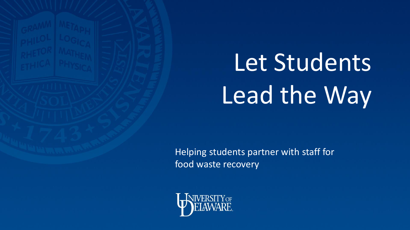

# Let Students Lead the Way

Helping students partner with staff for food waste recovery

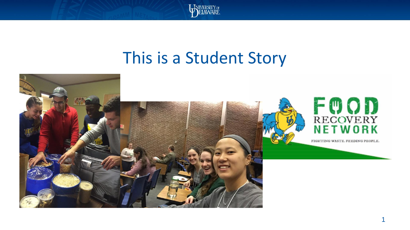

#### This is a Student Story

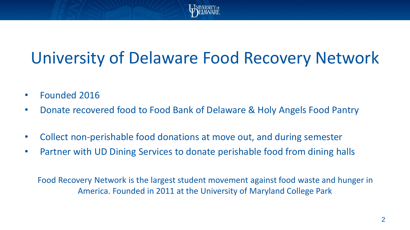

### University of Delaware Food Recovery Network

- Founded 2016
- Donate recovered food to Food Bank of Delaware & Holy Angels Food Pantry
- Collect non-perishable food donations at move out, and during semester
- Partner with UD Dining Services to donate perishable food from dining halls

Food Recovery Network is the largest student movement against food waste and hunger in America. Founded in 2011 at the University of Maryland College Park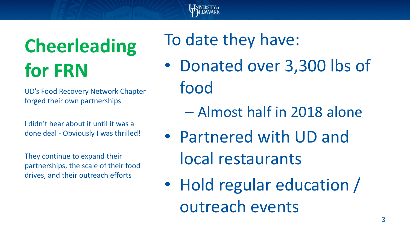

## **Cheerleading for FRN**

UD's Food Recovery Network Chapter forged their own partnerships

I didn't hear about it until it was a done deal - Obviously I was thrilled!

They continue to expand their partnerships, the scale of their food drives, and their outreach efforts

#### To date they have:

- Donated over 3,300 lbs of food
	- Almost half in 2018 alone
- Partnered with UD and local restaurants
- Hold regular education / outreach events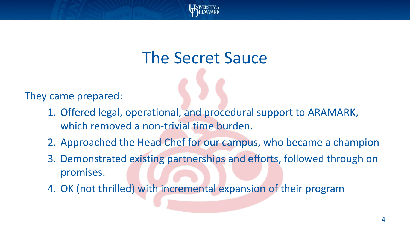

#### The Secret Sauce

They came prepared:

- 1. Offered legal, operational, and procedural support to ARAMARK, which removed a non-trivial time burden.
- 2. Approached the Head Chef for our campus, who became a champion
- 3. Demonstrated existing partnerships and efforts, followed through on promises.
- 4. OK (not thrilled) with incremental expansion of their program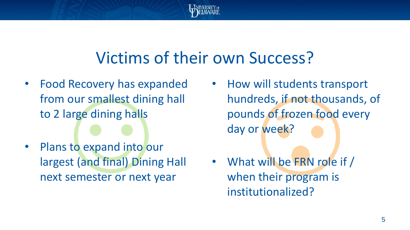

#### Victims of their own Success?

- Food Recovery has expanded from our smallest dining hall to 2 large dining halls
- Plans to expand into our largest (and final) Dining Hall next semester or next year
- How will students transport hundreds, if not thousands, of pounds of frozen food every day or week?
- What will be FRN role if / when their program is institutionalized?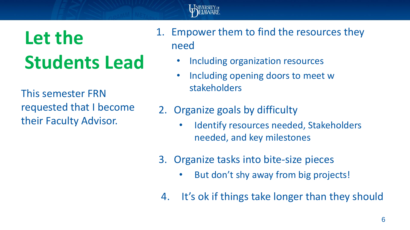

### **Let the Students Lead**

This semester FRN requested that I become their Faculty Advisor.

- 1. Empower them to find the resources they need
	- Including organization resources
	- Including opening doors to meet w stakeholders
- 2. Organize goals by difficulty
	- Identify resources needed, Stakeholders needed, and key milestones
- 3. Organize tasks into bite-size pieces
	- But don't shy away from big projects!
- 4. It's ok if things take longer than they should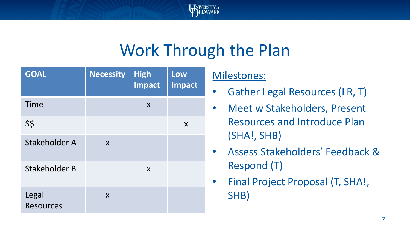

#### Work Through the Plan

| <b>GOAL</b>               | <b>Necessity</b>          | <b>High</b><br><b>Impact</b> | Low<br><b>Impact</b> |
|---------------------------|---------------------------|------------------------------|----------------------|
| Time                      |                           | X                            |                      |
| \$\$                      |                           |                              | X                    |
| Stakeholder A             | X                         |                              |                      |
| Stakeholder B             |                           | X                            |                      |
| Legal<br><b>Resources</b> | $\boldsymbol{\mathsf{X}}$ |                              |                      |

#### Milestones:

- Gather Legal Resources (LR, T)
- Meet w Stakeholders, Present Resources and Introduce Plan (SHA!, SHB)
- Assess Stakeholders' Feedback & Respond (T)
- Final Project Proposal (T, SHA!, SHB)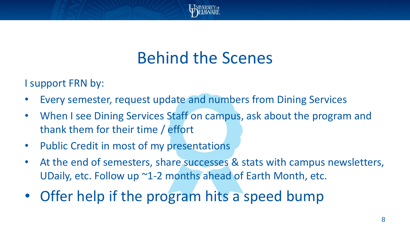

#### Behind the Scenes

I support FRN by:

- Every semester, request update and numbers from Dining Services
- When I see Dining Services Staff on campus, ask about the program and thank them for their time / effort
- Public Credit in most of my presentations
- At the end of semesters, share successes & stats with campus newsletters, UDaily, etc. Follow up ~1-2 months ahead of Earth Month, etc.
- Offer help if the program hits a speed bump